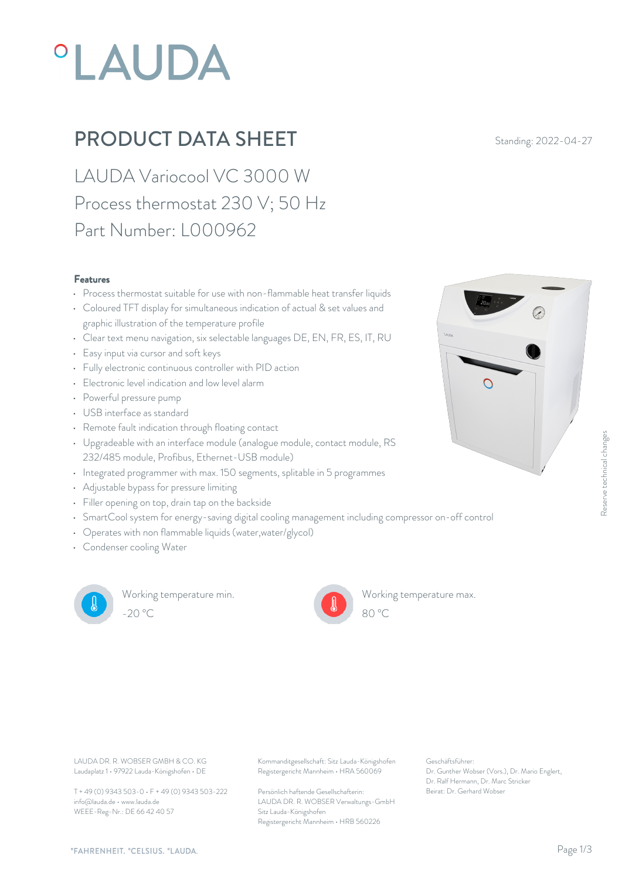# **°LAUDA**

### **PRODUCT DATA SHEET** Standing: 2022-04-27

LAUDA Variocool VC 3000 W Process thermostat 230 V; 50 Hz Part Number: L000962

#### Features

- Process thermostat suitable for use with non-flammable heat transfer liquids
- Coloured TFT display for simultaneous indication of actual & set values and graphic illustration of the temperature profile
- Clear text menu navigation, six selectable languages DE, EN, FR, ES, IT, RU
- Easy input via cursor and soft keys
- Fully electronic continuous controller with PID action
- Electronic level indication and low level alarm  $\Box$
- Powerful pressure pump
- USB interface as standard
- Remote fault indication through floating contact
- Upgradeable with an interface module (analogue module, contact module, RS 232/485 module, Profibus, Ethernet-USB module)
- Integrated programmer with max. 150 segments, splitable in 5 programmes
- Adjustable bypass for pressure limiting
- Filler opening on top, drain tap on the backside
- SmartCool system for energy-saving digital cooling management including compressor on-off control
- Operates with non flammable liquids (water,water/glycol)
- Condenser cooling Water



Working temperature min. -20 °C 80 °C

Working temperature max.



Laudaplatz 1 • 97922 Lauda-Königshofen • DE

T + 49 (0) 9343 503-0 • F + 49 (0) 9343 503-222 info@lauda.de • www.lauda.de WEEE-Reg-Nr.: DE 66 42 40 57

LAUDA DR. R. WOBSER GMBH & CO. KG Kommanditgesellschaft: Sitz Lauda-Königshofen Geschäftsführer: Registergericht Mannheim • HRA 560069

> Persönlich haftende Gesellschafterin: Beirat: Dr. Gerhard Wobse LAUDA DR. R. WOBSER Verwaltungs-GmbH Sitz Lauda-Königshofen Registergericht Mannheim • HRB 560226

Geschäftsführer: Dr. Gunther Wobser (Vors.), Dr. Mario Englert, Dr. Ralf Hermann, Dr. Marc Stricker

80 °C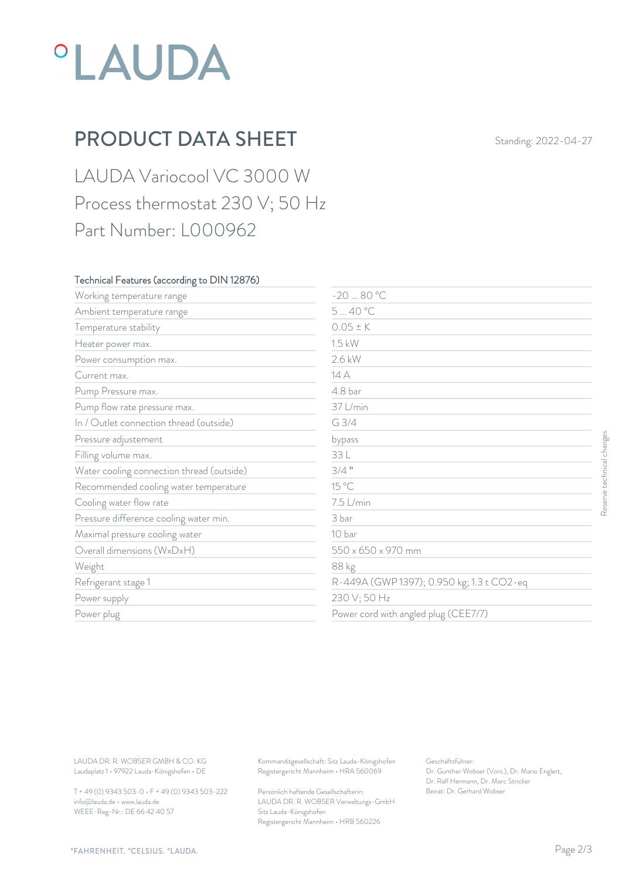## *°LAUDA*

## PRODUCT DATA SHEET Standing: 2022-04-27

LAUDA Variocool VC 3000 W Process thermostat 230 V; 50 Hz Part Number: L000962

#### Technical Features (according to DIN 12876)

| 540 °C<br>$0.05 \pm K$<br>Temperature stability<br>1.5 kW<br>2.6 kW<br>Power consumption max.<br>14 A<br>Current max.<br>4.8 bar<br>37 L/min<br>Pump flow rate pressure max.<br>G 3/4<br>In / Outlet connection thread (outside)<br>bypass<br>33 L<br>$3/4$ "<br>Water cooling connection thread (outside)<br>15 °C<br>Recommended cooling water temperature<br>7.5 L/min<br>Cooling water flow rate<br>Pressure difference cooling water min.<br>3 bar<br>Maximal pressure cooling water<br>10 bar<br>Overall dimensions (WxDxH)<br>550 x 650 x 970 mm<br>88 kg<br>R-449A (GWP 1397); 0.950 kg; 1.3 t CO2-eq<br>Refrigerant stage 1<br>230 V; 50 Hz<br>Power supply<br>Power cord with angled plug (CEE7/7)<br>Power plug<br>Kommanditgesellschaft: Sitz Lauda-Königshofen<br>Geschäftsführer:<br>Registergericht Mannheim · HRA 560069<br>Dr. Gunther Wobser (Vors.), Dr. Mario Englert,<br>Dr. Ralf Hermann, Dr. Marc Stricker | Working temperature range                                                                      | $-2080 °C$ |                            |                           |
|-----------------------------------------------------------------------------------------------------------------------------------------------------------------------------------------------------------------------------------------------------------------------------------------------------------------------------------------------------------------------------------------------------------------------------------------------------------------------------------------------------------------------------------------------------------------------------------------------------------------------------------------------------------------------------------------------------------------------------------------------------------------------------------------------------------------------------------------------------------------------------------------------------------------------------------|------------------------------------------------------------------------------------------------|------------|----------------------------|---------------------------|
| Heater power max.<br>Pump Pressure max.<br>Pressure adjustement<br>Filling volume max.<br>LAUDA DR. R. WOBSER GMBH & CO. KG                                                                                                                                                                                                                                                                                                                                                                                                                                                                                                                                                                                                                                                                                                                                                                                                       | Ambient temperature range                                                                      |            |                            |                           |
| Weight                                                                                                                                                                                                                                                                                                                                                                                                                                                                                                                                                                                                                                                                                                                                                                                                                                                                                                                            |                                                                                                |            |                            |                           |
|                                                                                                                                                                                                                                                                                                                                                                                                                                                                                                                                                                                                                                                                                                                                                                                                                                                                                                                                   |                                                                                                |            |                            |                           |
|                                                                                                                                                                                                                                                                                                                                                                                                                                                                                                                                                                                                                                                                                                                                                                                                                                                                                                                                   |                                                                                                |            |                            |                           |
|                                                                                                                                                                                                                                                                                                                                                                                                                                                                                                                                                                                                                                                                                                                                                                                                                                                                                                                                   |                                                                                                |            |                            |                           |
|                                                                                                                                                                                                                                                                                                                                                                                                                                                                                                                                                                                                                                                                                                                                                                                                                                                                                                                                   |                                                                                                |            |                            |                           |
|                                                                                                                                                                                                                                                                                                                                                                                                                                                                                                                                                                                                                                                                                                                                                                                                                                                                                                                                   |                                                                                                |            |                            |                           |
|                                                                                                                                                                                                                                                                                                                                                                                                                                                                                                                                                                                                                                                                                                                                                                                                                                                                                                                                   |                                                                                                |            |                            |                           |
|                                                                                                                                                                                                                                                                                                                                                                                                                                                                                                                                                                                                                                                                                                                                                                                                                                                                                                                                   |                                                                                                |            |                            |                           |
|                                                                                                                                                                                                                                                                                                                                                                                                                                                                                                                                                                                                                                                                                                                                                                                                                                                                                                                                   |                                                                                                |            |                            | Reserve technical changes |
|                                                                                                                                                                                                                                                                                                                                                                                                                                                                                                                                                                                                                                                                                                                                                                                                                                                                                                                                   |                                                                                                |            |                            |                           |
|                                                                                                                                                                                                                                                                                                                                                                                                                                                                                                                                                                                                                                                                                                                                                                                                                                                                                                                                   |                                                                                                |            |                            |                           |
|                                                                                                                                                                                                                                                                                                                                                                                                                                                                                                                                                                                                                                                                                                                                                                                                                                                                                                                                   |                                                                                                |            |                            |                           |
|                                                                                                                                                                                                                                                                                                                                                                                                                                                                                                                                                                                                                                                                                                                                                                                                                                                                                                                                   |                                                                                                |            |                            |                           |
|                                                                                                                                                                                                                                                                                                                                                                                                                                                                                                                                                                                                                                                                                                                                                                                                                                                                                                                                   |                                                                                                |            |                            |                           |
|                                                                                                                                                                                                                                                                                                                                                                                                                                                                                                                                                                                                                                                                                                                                                                                                                                                                                                                                   |                                                                                                |            |                            |                           |
|                                                                                                                                                                                                                                                                                                                                                                                                                                                                                                                                                                                                                                                                                                                                                                                                                                                                                                                                   |                                                                                                |            |                            |                           |
|                                                                                                                                                                                                                                                                                                                                                                                                                                                                                                                                                                                                                                                                                                                                                                                                                                                                                                                                   |                                                                                                |            |                            |                           |
|                                                                                                                                                                                                                                                                                                                                                                                                                                                                                                                                                                                                                                                                                                                                                                                                                                                                                                                                   |                                                                                                |            |                            |                           |
|                                                                                                                                                                                                                                                                                                                                                                                                                                                                                                                                                                                                                                                                                                                                                                                                                                                                                                                                   |                                                                                                |            |                            |                           |
|                                                                                                                                                                                                                                                                                                                                                                                                                                                                                                                                                                                                                                                                                                                                                                                                                                                                                                                                   |                                                                                                |            |                            |                           |
| Persönlich haftende Gesellschafterin:                                                                                                                                                                                                                                                                                                                                                                                                                                                                                                                                                                                                                                                                                                                                                                                                                                                                                             | Laudaplatz 1 · 97922 Lauda-Königshofen · DE<br>T + 49 (0) 9343 503-0 · F + 49 (0) 9343 503-222 |            | Beirat: Dr. Gerhard Wobser |                           |

T + 49 (0) 9343 503-0 • F + 49 (0) 9343 503-222 info@lauda.de • www.lauda.de WEEE-Reg-Nr.: DE 66 42 40 57

> Persönlich haftende Gesellschafterin: Beirat: Dr. Gerhard Wobser LAUDA DR. R. WOBSER Verwaltungs-GmbH Sitz Lauda-Königshofen Registergericht Mannheim • HRB 560226